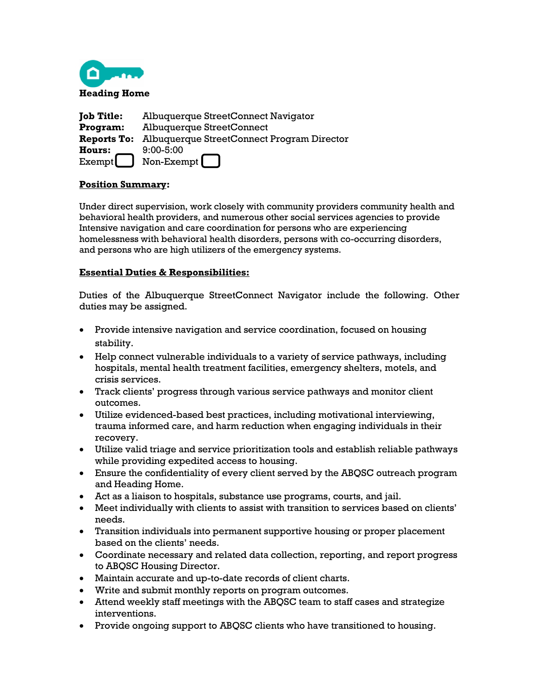

| <b>Job Title:</b> | <b>Albuquerque StreetConnect Navigator</b>                    |
|-------------------|---------------------------------------------------------------|
| Program:          | <b>Albuquerque StreetConnect</b>                              |
|                   | <b>Reports To:</b> Albuquerque StreetConnect Program Director |
| <b>Hours:</b>     | $9:00 - 5:00$                                                 |
| Exempt            | Non-Exempt [ ]                                                |

## **Position Summary:**

Under direct supervision, work closely with community providers community health and behavioral health providers, and numerous other social services agencies to provide Intensive navigation and care coordination for persons who are experiencing homelessness with behavioral health disorders, persons with co-occurring disorders, and persons who are high utilizers of the emergency systems.

## **Essential Duties & Responsibilities:**

Duties of the Albuquerque StreetConnect Navigator include the following. Other duties may be assigned.

- Provide intensive navigation and service coordination, focused on housing stability.
- Help connect vulnerable individuals to a variety of service pathways, including hospitals, mental health treatment facilities, emergency shelters, motels, and crisis services.
- Track clients' progress through various service pathways and monitor client outcomes.
- Utilize evidenced-based best practices, including motivational interviewing, trauma informed care, and harm reduction when engaging individuals in their recovery.
- Utilize valid triage and service prioritization tools and establish reliable pathways while providing expedited access to housing.
- Ensure the confidentiality of every client served by the ABQSC outreach program and Heading Home.
- Act as a liaison to hospitals, substance use programs, courts, and jail.
- Meet individually with clients to assist with transition to services based on clients' needs.
- Transition individuals into permanent supportive housing or proper placement based on the clients' needs.
- Coordinate necessary and related data collection, reporting, and report progress to ABQSC Housing Director.
- Maintain accurate and up-to-date records of client charts.
- Write and submit monthly reports on program outcomes.
- Attend weekly staff meetings with the ABQSC team to staff cases and strategize interventions.
- Provide ongoing support to ABQSC clients who have transitioned to housing.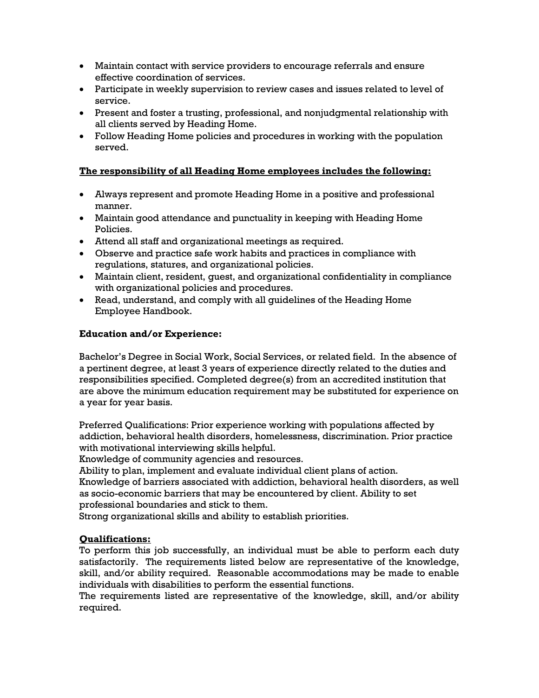- Maintain contact with service providers to encourage referrals and ensure effective coordination of services.
- Participate in weekly supervision to review cases and issues related to level of service.
- Present and foster a trusting, professional, and nonjudgmental relationship with all clients served by Heading Home.
- Follow Heading Home policies and procedures in working with the population served.

# **The responsibility of all Heading Home employees includes the following:**

- Always represent and promote Heading Home in a positive and professional manner.
- Maintain good attendance and punctuality in keeping with Heading Home Policies.
- Attend all staff and organizational meetings as required.
- Observe and practice safe work habits and practices in compliance with regulations, statures, and organizational policies.
- Maintain client, resident, guest, and organizational confidentiality in compliance with organizational policies and procedures.
- Read, understand, and comply with all guidelines of the Heading Home Employee Handbook.

## **Education and/or Experience:**

Bachelor's Degree in Social Work, Social Services, or related field. In the absence of a pertinent degree, at least 3 years of experience directly related to the duties and responsibilities specified. Completed degree(s) from an accredited institution that are above the minimum education requirement may be substituted for experience on a year for year basis.

Preferred Qualifications: Prior experience working with populations affected by addiction, behavioral health disorders, homelessness, discrimination. Prior practice with motivational interviewing skills helpful.

Knowledge of community agencies and resources.

Ability to plan, implement and evaluate individual client plans of action.

Knowledge of barriers associated with addiction, behavioral health disorders, as well as socio-economic barriers that may be encountered by client. Ability to set professional boundaries and stick to them.

Strong organizational skills and ability to establish priorities.

# **Qualifications:**

To perform this job successfully, an individual must be able to perform each duty satisfactorily. The requirements listed below are representative of the knowledge, skill, and/or ability required. Reasonable accommodations may be made to enable individuals with disabilities to perform the essential functions.

The requirements listed are representative of the knowledge, skill, and/or ability required.